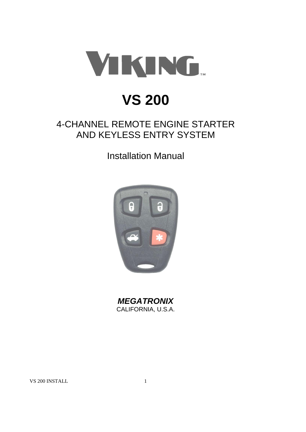

# **VS 200**

# 4-CHANNEL REMOTE ENGINE STARTER AND KEYLESS ENTRY SYSTEM

# Installation Manual



*MEGATRONIX* CALIFORNIA, U.S.A.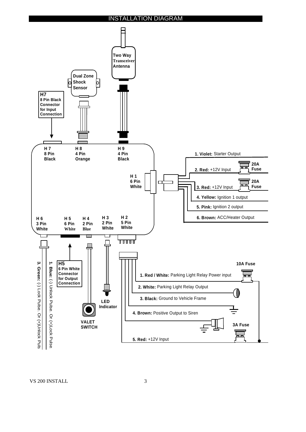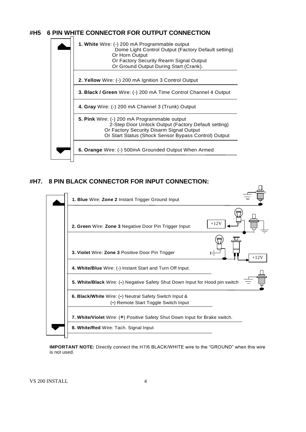# **#H5 6 PIN WHITE CONNECTOR FOR OUTPUT CONNECTION**



#### **#H7. 8 PIN BLACK CONNECTOR FOR INPUT CONNECTION:**



**IMPORTANT NOTE:** Directly connect the H7/6 BLACK/WHITE wire to the "GROUND" when this wire is not used.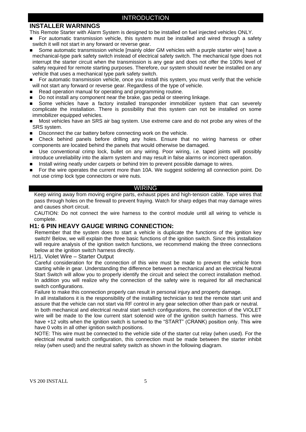# **INSTALLER WARNINGS**

This Remote Starter with Alarm System is designed to be installed on fuel injected vehicles ONLY.

- For automatic transmission vehicle, this system must be installed and wired through a safety switch it will not start in any forward or reverse gear.
- Some automatic transmission vehicle [mainly older GM vehicles with a purple starter wire] have a mechanical-type park safety switch instead of electrical safety switch. The mechanical type does not interrupt the starter circuit when the transmission is any gear and does not offer the 100% level of safety required for remote starting purposes. Therefore, our system should never be installed on any vehicle that uses a mechanical type park safety switch.
- **For automatic transmission vehicle, once you install this system, you must verify that the vehicle** will not start any forward or reverse gear. Regardless of the type of vehicle.
- Read operation manual for operating and programming routine.
- Do not install any component near the brake, gas pedal or steering linkage.
- Some vehicles have a factory installed transponder immobilizer system that can severely complicate the installation. There is possibility that this system can not be installed on some immobilizer equipped vehicles.
- Most vehicles have an SRS air bag system. Use extreme care and do not probe any wires of the SRS system.
- Disconnect the car battery before connecting work on the vehicle.
- Check behind panels before drilling any holes. Ensure that no wiring harness or other components are located behind the panels that would otherwise be damaged.
- Use conventional crimp lock, bullet on any wiring. Poor wiring, i.e. taped joints will possibly introduce unreliability into the alarm system and may result in false alarms or incorrect operation.
- Install wiring neatly under carpets or behind trim to prevent possible damage to wires.
- For the wire operates the current more than 10A. We suggest soldering all connection point. Do not use crimp lock type connectors or wire nuts.

#### WIRING

Keep wiring away from moving engine parts, exhaust pipes and high-tension cable. Tape wires that pass through holes on the firewall to prevent fraying. Watch for sharp edges that may damage wires and causes short circuit.

CAUTION: Do not connect the wire harness to the control module until all wiring to vehicle is complete.

# **H1: 6 PIN HEAVY GAUGE WIRING CONNECTION:**

Remember that the system does to start a vehicle is duplicate the functions of the ignition key switch! Below, we will explain the three basic functions of the ignition switch. Since this installation will require analysis of the ignition switch functions, we recommend making the three connections below at the ignition switch harness directly.

H1/1. Violet Wire – Starter Output

Careful consideration for the connection of this wire must be made to prevent the vehicle from starting while in gear. Understanding the difference between a mechanical and an electrical Neutral Start Switch will allow you to properly identify the circuit and select the correct installation method. In addition you will realize why the connection of the safety wire is required for all mechanical switch configurations.

Failure to make this connection properly can result in personal injury and property damage.

In all installations it is the responsibility of the installing technician to test the remote start unit and assure that the vehicle can not start via RF control in any gear selection other than park or neutral. In both mechanical and electrical neutral start switch configurations, the connection of the VIOLET wire will be made to the low current start solenoid wire of the ignition switch harness. This wire have +12 volts when the ignition switch is turned to the "START" (CRANK) position only. This wire have 0 volts in all other ignition switch positions.

NOTE: This wire must be connected to the vehicle side of the starter cut relay (when used). For the electrical neutral switch configuration, this connection must be made between the starter inhibit relay (when used) and the neutral safety switch as shown in the following diagram.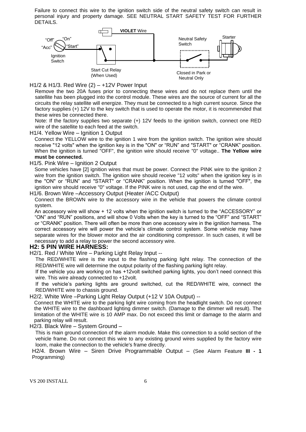Failure to connect this wire to the ignition switch side of the neutral safety switch can result in personal injury and property damage. SEE NEUTRAL START SAFETY TEST FOR FURTHER DETAILS.



H1/2 & H1/3. Red Wire (2) – +12V Power Input

Remove the two 20A fuses prior to connecting these wires and do not replace them until the satellite has been plugged into the control module. These wires are the source of current for all the circuits the relay satellite will energize. They must be connected to a high current source. Since the factory supplies (+) 12V to the key switch that is used to operate the motor, it is recommended that these wires be connected there.

Note: If the factory supplies two separate (+) 12V feeds to the ignition switch, connect one RED wire of the satellite to each feed at the switch.

H1/4. Yellow Wire – Ignition 1 Output

Connect the YELLOW wire to the ignition 1 wire from the ignition switch. The ignition wire should receive "12 volts" when the ignition key is in the "ON" or "RUN" and "START" or "CRANK" position. When the ignition is turned "OFF", the ignition wire should receive "0" voltage.. **The Yellow wire must be connected.**

#### H1/5. Pink Wire – Ignition 2 Output

Some vehicles have [2] ignition wires that must be power. Connect the PINK wire to the ignition 2 wire from the ignition switch. The ignition wire should receive "12 volts" when the ignition key is in the "ON" or "RUN" and "START" or "CRANK" position. When the ignition is turned "OFF", the ignition wire should receive "0" voltage. If the PINK wire is not used, cap the end of the wire.

H1/6. Brown Wire –Accessory Output (Heater /ACC Output)

Connect the BROWN wire to the accessory wire in the vehicle that powers the climate control system.

An accessory wire will show + 12 volts when the ignition switch is turned to the "ACCESSORY" or "ON" and "RUN" positions, and will show 0 Volts when the key is turned to the "OFF" and "START" or "CRANK" position. There will often be more than one accessory wire in the ignition harness. The correct accessory wire will power the vehicle's climate control system. Some vehicle may have separate wires for the blower motor and the air conditioning compressor. In such cases, it will be necessary to add a relay to power the second accessory wire.

#### **H2: 5 PIN WIRE HARNESS:**

H2/1. Red / White Wire – Parking Light Relay Input --

The RED/WHITE wire is the input to the flashing parking light relay. The connection of the RED/WHITE wire will determine the output polarity of the flashing parking light relay.

If the vehicle you are working on has +12volt switched parking lights, you don't need connect this wire. This wire already connected to +12volt.

If the vehicle's parking lights are ground switched, cut the RED/WHITE wire, connect the RED/WHITE wire to chassis ground.

H2/2. White Wire –Parking Light Relay Output (+12 V 10A Output) --

Connect the WHITE wire to the parking light wire coming from the headlight switch. Do not connect the WHITE wire to the dashboard lighting dimmer switch. (Damage to the dimmer will result). The limitation of the WHITE wire is 10 AMP max. Do not exceed this limit or damage to the alarm and parking relay will result.

H2/3. Black Wire – System Ground –

This is main ground connection of the alarm module. Make this connection to a solid section of the vehicle frame. Do not connect this wire to any existing ground wires supplied by the factory wire loom, make the connection to the vehicle's frame directly.

H2/4. Brown Wire – Siren Drive Programmable Output – (See Alarm Feature **III - 1** Programming)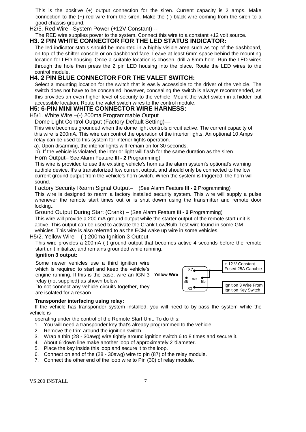This is the positive (+) output connection for the siren. Current capacity is 2 amps. Make connection to the (+) red wire from the siren. Make the (-) black wire coming from the siren to a good chassis ground.

H2/5. Red Wire –System Power (+12V Constant) --

#### The RED wire supplies power to the system. Connect this wire to a constant +12 volt source. **H3. 2 PIN WHITE CONNECTOR FOR THE LED STATUS INDICATOR:**

The led indicator status should be mounted in a highly visible area such as top of the dashboard, on top of the shifter console or on dashboard face. Leave at least 6mm space behind the mounting location for LED housing. Once a suitable location is chosen, drill a 6mm hole. Run the LED wires through the hole then press the 2 pin LED housing into the place. Route the LED wires to the control module.

# **H4. 2 PIN BLUE CONNECTOR FOR THE VALET SWITCH:**

Select a mounting location for the switch that is easily accessible to the driver of the vehicle. The switch does not have to be concealed, however, concealing the switch is always recommended, as this provides an even higher level of security to the vehicle. Mount the valet switch in a hidden but accessible location. Route the valet switch wires to the control module.

# **H5: 6-PIN MINI WHITE CONNECTOR WIRE HARNESS:**

H5/1. White Wire –(-) 200ma Programmable Output.

Dome Light Control Output (Factory Default Setting)—

This wire becomes grounded when the dome light controls circuit active. The current capacity of this wire is 200mA. This wire can control the operation of the interior lights. An optional 10 Amps relay can be used to this system for interior lights operation.

a). Upon disarming, the interior lights will remain on for 30 seconds.

b). If the vehicle is violated, the interior light will flash for the same duration as the siren.

#### Horn Output– See Alarm Feature **III - 2** Programming)

This wire is provided to use the existing vehicle's horn as the alarm system's optional's warning audible device. It's a transistorized low current output, and should only be connected to the low current ground output from the vehicle's horn switch. When the system is triggered, the horn will sound.

Factory Security Rearm Signal Output– (See Alarm Feature **III - 2** Programming)

This wire is designed to rearm a factory installed security system. This wire will supply a pulse whenever the remote start times out or is shut dowm using the transmitter and remote door locking..

Ground Output During Start (Crank) – (See Alarm Feature **III - 2** Programming)

This wire will provide a 200 mA ground output while the starter output of the remote start unit is active. This output can be used to activate the Crank Low/Bulb Test wire found in some GM vehicles. This wire is also referred to as the ECM wake up wire in some vehicles.

#### H5/2. Yellow Wire  $-$  (-) 200ma Ignition 3 Output  $-$

This wire provides a 200mA (-) ground output that becomes active 4 seconds before the remote start unit initialize, and remains grounded while running.

#### **Ignition 3 output:**

Some newer vehicles use a third ignition wire which is required to start and keep the vehicle's engine running. If this is the case, wire an IGN 3 **Yellow Wire** relay (not supplied) as shown below: Do not connect any vehicle circuits together, they are isolated for a resaon.



#### **Transponder interfacing using relay:**

 If the vehicle has transponder system installed, you will need to by-pass the system while the vehicle is

operating under the control of the Remote Start Unit. To do this:

- 1. You will need a transponder key that's already programmed to the vehicle.
- 2. Remove the trim around the ignition switch.
- 3. Wrap a thin (28 30awg) wire tightly around ignition switch 6 to 8 times and secure it.
- 4. About 6"down line make another loop of approximately 2"diameter.
- 5. Place the key inside this loop and secure it to the loop.
- 6. Connect on end of the (28 30awg) wire to pin (87) of the relay module.
- 7. Connect the other end of the loop wire to Pin (30) of relay module.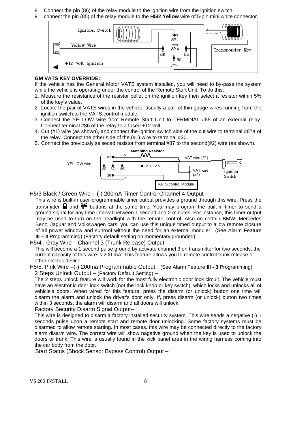- 8. Connect the pin (86) of the relay module to the ignition wire from the ignition switch.
- 9. connect the pin (85) of the relay module to the **H5/2 Yellow** wire of 5-pin mini white connector.



#### **GM VATS KEY OVERRIDE:**

If the vehicle has the General Motor VATS system installed, you will need to by-pass the system while the vehicle is operating under the control of the Remote Start Unit. To do this:

- 1. Measure the resistance of the resistor pellet on the ignition key then select a resistor within 5% of the key's value.
- 2. Locate the pair of VATS wires in the vehicle, usually a pair of thin gauge wires running from the ignition switch to the VATS control module.
- 3. Connect the YELLOW wire from Remote Start Unit to TERMINAL #85 of an external relay. Connect terminal #86 of the relay to a fused +12 volt.
- 4. Cut (#1) wire (as shown), and connect the ignition switch side of the cut wire to terminal #87a of the relay. Connect the other side of the (#1) wire to terminal #30.
- 5. Connect the previously selseced resistor from terminal #87 to the second(#2) wire (as shown).



H5/3 Black / Green Wire – (-) 200mA Timer Control Channel 4 Output –

This wire is built-in user-programmable timer output provides a ground through this wire. Press the transmitter **a** and  $\mathcal{F}$  buttons at the same time. You may program the built-in timer to send a ground signal for any time interval between 1 second and 2 minutes. For instance, this timer output may be used to turn on the headlight with the remote control. Also on certain BMW, Mercedes Benz, Jaguar and Volkswagen cars, you can use this unique timed output to allow remote closure of all power window and sunroof without the need for an external module! (See Alarm Feature **III – 4** Programming) (Factory default setting on momentary grounded)

#### H5/4 . Gray Wire – Channel 3 (Trunk Release) Output

This will become a 1 second pulse ground by activate channel 3 on transmitter for two seconds, the current capacity of this wire is 200 mA. This feature allows you to remote control trunk release or other electric device.

H5/5. Pink Wire –(-) 200ma Programmable Output (See Alarm Feature **III - 3** Programming) 2 Steps Unlock Output – (Factory Default Setting) –

The 2 steps unlock feature will work for the most fully electronic door lock circuit. The vehicle must have an electronic door lock switch (not the lock knob or key switch), which locks and unlocks all of vehicle's doors. When wired for this feature, press the disarm (or unlock) button one time will disarm the alarm and unlock the driver's door only. If, press disarm (or unlock) button two times within 3 seconds, the alarm will disarm and all doors will unlock.

Factory Security Disarm Signal Output–

This wire is designed to disarm a factory installed security system. This wire sends a negative (-) 1 seconds pulse upon a remote start and remote door unlocking. Some factory systems must be disarmed to allow remote starting. In most cases, this wire may be connected directly to the factory alarm disarm wire. The correct wire will show nagative ground when the key is used to unlock the doors or trunk. This wire is usually found in the kick panel area in the wiring harness coming into the car body from the door.

Start Status (Shock Sensor Bypass Control) Output –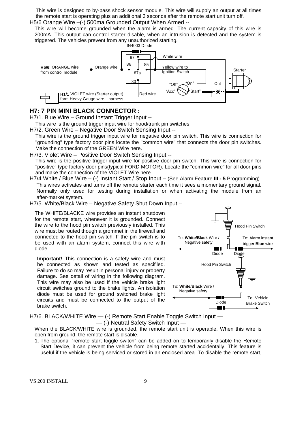This wire is designed to by-pass shock sensor module. This wire will supply an output at all times the remote start is operating plus an additional 3 seconds after the remote start unit turn off. H5/6 Orange Wire -(-) 500ma Grounded Output When Armed --

This wire will become grounded when the alarm is armed. The current capacity of this wire is 200mA. This output can control starter disable, when an intrusion is detected and the system is triggered. The vehicles prevent from any unauthorized starting.



#### **H7: 7 PIN MINI BLACK CONNECTOR :**

H7/1. Blue Wire – Ground Instant Trigger Input --

This wire is the ground trigger input wire for hood/trunk pin switches.

H7/2. Green Wire – Negative Door Switch Sensing Input --

This wire is the ground trigger input wire for negative door pin switch. This wire is connection for "grounding" type factory door pins locate the "common wire" that connects the door pin switches. Make the connection of the GREEN Wire here.

H7/3. Violet Wire – Positive Door Switch Sensing Input --

This wire is the positive trigger input wire for positive door pin switch. This wire is connection for "positive" type factory door pins(typical FORD MOTOR). Locate the "common wire" for all door pins and make the connection of the VIOLET Wire here.

H7/4 White / Blue Wire – (-) Instant Start / Stop Input – (See Alarm Feature **III - 5** Programming) This wires activates and turns off the remote starter each time it sees a momentary ground signal. Normally only used for testing during installation or when activating the module from an after-market system.

H7/5. White/Black Wire – Negative Safety Shut Down Input –

The WHITE/BLACKE wire provides an instant shutdown for the remote start, whenever it is grounded. Connect the wire to the hood pin switch previously installed. This wire must be routed though a grommet in the firewall and connected to the hood pin switch. If the pin switch is to be used with an alarm system, connect this wire with diode.

**Important!** This connection is a safety wire and must be connected as shown and tested as specifiled. Failure to do so may result in personal injury or property damage. See detail of wiring in the following diagram. This wire may also be used if the vehicle brake light circuit switches ground to the brake lights. An isolation diode must be used for ground switched brake light circuits and must be connected to the output of the brake switch.



H7/6. BLACK/WHITE Wire  $-$  (-) Remote Start Enable Toggle Switch Input  $-$ — (-) Neutral Safety Switch Input —

When the BLACK/WHITE wire is grounded, the remote start unit is operable. When this wire is open from ground, the remote start is disable.

1. The optional "remote start toggle switch" can be added on to temporarily disable the Remote Start Device, it can prevent the vehicle from being remote started accidentally. This feature is useful if the vehicle is being serviced or stored in an enclosed area. To disable the remote start,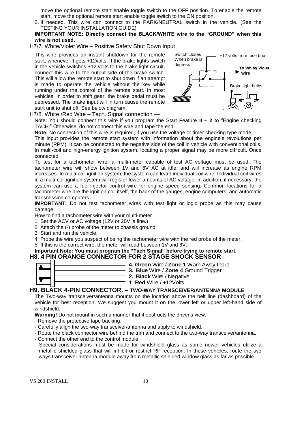move the optional remote start enable toggle switch to the OFF position. To enable the remote start, move the optional remote start enable toggle switch to the ON position.

- 2. If needed, This wire can connect to the PARK/NEUTRAL switch in the vehicle. (See the TESTING YOUR INSTALLATION GUIDE)
- **IMPORTANT NOTE: Directly connect the BLACK/WHITE wire to the "GROUND" when this wire is not used.**
- H7/7. White/Violet Wire Positive Safety Shut Down Input

This wire provides an instant shutdown for the remote start, whenever it gets +12volts. If the brake lights switch in the vehicle switches +12 volts to the brake light circuit, connect this wire to the output side of the brake switch. This will allow the remote start to shut down if an attempt is made to operate the vehicle without the key while running under the control of the remote start. In most vehicles, in order to shift gear, the brake pedal must be depressed. The brake input will in turn cause the remote start unit to shut off. See below diagram.



H7/8. White /Red Wire – Tach. Signal connection —

Note: You should connect this wire if you program the Start Feature **II – 2** to "Engine checking TACH." Otherwise, do not connect this wire and tape the end.

**Note:** No connection of this wire is required, if you use the voltage or timer checking type mode.

This input provides the remote start system with information about the engine's revolutions per minute (RPM). It can be connected to the negative side of the coil in vehicle with conventional coils. In multi-coil and high-energy ignition system, locating a proper signal may be more difficult. Once connected,

To test for a tachometer wire, a multi-meter capable of test AC voltage must be used. The tachometer wire will show between 1V and 6V AC at idle, and will increase as engine RPM increases. In multi-coil ignition system, the system can learn individual coil wire. Individual coil wires in a multi-coil ignition system will register lower amounts of AC voltage. In addition, if necessary, the system can use a fuel-injector control wire for engine speed sensing. Common locations for a tachometer wire are the ignition coil itself, the back of the gauges, engine computers, and automatic transmission computers.

**IMPORTANT:** Do not test tachometer wires with test light or logic probe as this may cause damage.

How to find a tachometer wire with your multi-meter

- 1. Set the ACV or AC voltage (12V or 20V is fine.)
- 2. Attach the (-) probe of the meter to chassis ground.
- 3. Start and run the vehicle.

4. Probe the wire you suspect of being the tachometer wire with the red probe of the meter.

5. If this is the correct wire, the meter will read between 1V and 6V.

#### **Important Note: You must program the "Tach Signal" before trying to remote start. H8. 4 PIN ORANGE CONNECTOR FOR 2 STAGE SHOCK SENSOR**

| 4. Green Wire / Zone 1    |
|---------------------------|
|                           |
| 3. Blue Wire / Zone 4     |
| 2. Black Wire / Negativ   |
|                           |
| 1. Red Wire $/ +12$ Volts |
|                           |

#### **H9. BLACK 4-PIN CONNECTOR. – TWO-WAY TRANSCEIVER/ANTENNA MODULE**

The Two-way transceiver/antenna mounts on the location above the belt line (dashboard) of the vehicle for best reception. We suggest you mount it on the lower left or upper left-hand side of windshield.

**2. Black** Wire / Negative

**4. Green** Wire / **Zone 1** Warn Away Input **3. Blue** Wire / **Zone 4** Ground Trigger

**Warning!** Do not mount in such a manner that it obstructs the driver's view.

- Remove the protective tape backing.
- Carefully align the two-way transceiver/antenna and apply to windshield.
- Route the black connector wire behind the trim and connect to the two-way transceiver/antenna.
- Connect the other end to the control module.
- Special considerations must be made for windshield glass as some newer vehicles utilize a metallic shielded glass that will inhibit or restrict RF reception. In these vehicles, route the two ways transceiver antenna module away from metallic shielded window glass as far as possible.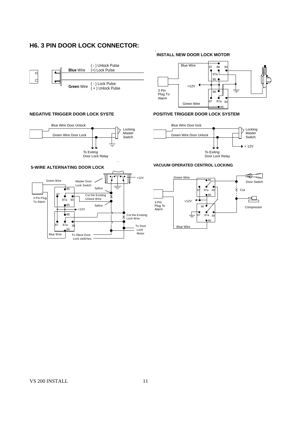# **H6. 3 PIN DOOR LOCK CONNECTOR:**



#### **NEGATIVE TRIGGER DOOR LOCK SYSTE**



## **INSTALL NEW DOOR LOCK MOTOR**



#### **POSITIVE TRIGGER DOOR LOCK SYSTEM**



#### **VACUUM OPERATED CENTROL LOCKING**



# **5-WIRE ALTERNATING DOOR LOCK**

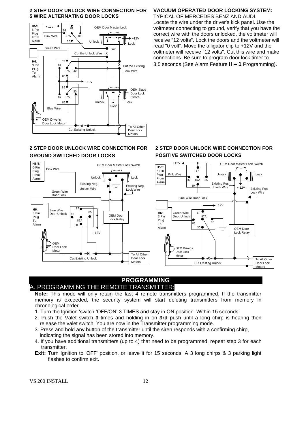#### **2 STEP DOOR UNLOCK WIRE CONNECTION FOR 5 WIRE ALTERNATING DOOR LOCKS**



## **2 STEP DOOR UNLOCK WIRE CONNECTION FOR GROUND SWITCHED DOOR LOCKS**



# **VACUUM OPERATED DOOR LOCKING SYSTEM:**

TYPICAL OF MERCEDES BENZ AND AUDI. Locate the wire under the driver's kick panel. Use the voltmeter connecting to ground, verify that you have the correct wire with the doors unlocked, the voltmeter will receive "12 volts". Lock the doors and the voltmeter will read "0 volt". Move the alligator clip to +12V and the voltmeter will receive "12 volts". Cut this wire and make connections. Be sure to program door lock timer to 3.5 seconds.(See Alarm Feature **II – 1** Programming).

#### **2 STEP DOOR UNLOCK WIRE CONNECTION FOR POSITIVE SWITCHED DOOR LOCKS**



#### **PROGRAMMING** A. PROGRAMMING THE REMOTE TRANSMITTER:

**Note:** This mode will only retain the last 4 remote transmitters programmed. If the transmitter memory is exceeded, the security system will start deleting transmitters from memory in chronological order.

- 1. Turn the Ignition 'switch 'OFF/ON' 3 TIMES and stay in ON position. Within 15 seconds.
- 2. Push the Valet switch **3** times and holding in on **3rd** push until a long chirp is hearing then release the valet switch. You are now in the Transmitter programming mode.
- 3. Press and hold any button of the transmitter until the siren responds with a confirming chirp, indicating the signal has been stored into memory.
- 4. If you have additional transmitters (up to 4) that need to be programmed, repeat step 3 for each transmitter.
- **Exit:** Turn Ignition to 'OFF' position, or leave it for 15 seconds. A 3 long chirps & 3 parking light flashes to confirm exit.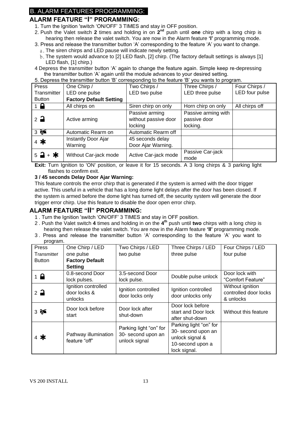# B. ALARM FEATURES PROGRAMMING:

# **ALARM FEATURE "I" PRORAMMING:**

- 1. Turn the Ignition 'switch 'ON/OFF' 3 TIMES and stay in OFF position.
- 2. Push the Valet switch 2 times and holding in on 2<sup>nd</sup> push until one chirp with a long chirp is hearing then release the valet switch. You are now in the Alarm feature **'I'** programming mode.
- 3. Press and release the transmitter button 'A' corresponding to the feature 'A' you want to change.
	- a. The siren chirps and LED pause will indicate newly setting.
	- b.The system would advance to [2] LED flash, [2] chirp. (The factory default settings is always [1] LED flash, [1] chirp.)
- 4 Depress the transmitter button 'A' again to change the feature again. Simple keep re-depressing the transmitter button 'A' again until the module advances to your desired setting.

| 5. Depress the transmitter button 'B' corresponding to the feature 'B' you wants to program. |                       |                      |                     |                |
|----------------------------------------------------------------------------------------------|-----------------------|----------------------|---------------------|----------------|
| Press                                                                                        | One Chirp /           | Two Chirps /         | Three Chirps /      | Four Chirps /  |
| Transmitter                                                                                  | LED one pulse         | LED two pulse        | LED three pulse     | LED four pulse |
| <b>Factory Default Setting</b><br><b>Button</b>                                              |                       |                      |                     |                |
| $1 \bullet$                                                                                  | All chirps on         | Siren chirp on only  | Horn chirp on only  | All chirps off |
|                                                                                              |                       | Passive arming       | Passive arming with |                |
| $2^{\circ}$                                                                                  | Active arming         | without passive door | passive door        |                |
|                                                                                              |                       | locking              | locking.            |                |
| 35                                                                                           | Automatic Rearm on    | Automatic Rearm off  |                     |                |
| $4$ *                                                                                        | Instantly Door Ajar   | 45 seconds delay     |                     |                |
|                                                                                              | Warning               | Door Ajar Warning.   |                     |                |
| $5 - 3 + *$                                                                                  | Without Car-jack mode |                      | Passive Car-jack    |                |
|                                                                                              |                       | Active Car-jack mode | mode                |                |

**Exit:** Turn Ignition to 'ON' position, or leave it for 15 seconds. A 3 long chirps & 3 parking light flashes to confirm exit.

#### **3 / 45 seconds Delay Door Ajar Warning:**

This feature controls the error chirp that is generated if the system is armed with the door trigger active. This useful in a vehicle that has a long dome light delays after the door has been closed. If the system is armed before the dome light has turned off, the security system will generate the door trigger error chirp. Use this feature to disable the door open error chirp.

#### **ALARM FEATURE "II" PRORAMMING:**

- 1 . Turn the Ignition 'switch 'ON/OFF' 3 TIMES and stay in OFF position.
- 2 . Push the Valet switch **4** times and holding in on the **4 th** push until **two** chirps with a long chirp is hearing then release the valet switch. You are now in the Alarm feature **'II'** programming mode.
- 3 . Press and release the transmitter button 'A' corresponding to the feature 'A' you want to program.

| ັ<br>Press      | One Chirp / LED                                | Two Chirps / LED                                              | Three Chirps / LED                                                                                  | Four Chirps / LED                                      |
|-----------------|------------------------------------------------|---------------------------------------------------------------|-----------------------------------------------------------------------------------------------------|--------------------------------------------------------|
| Transmitter     | one pulse                                      | two pulse                                                     | three pulse                                                                                         | four pulse                                             |
| <b>Button</b>   | <b>Factory Default</b>                         |                                                               |                                                                                                     |                                                        |
|                 | <b>Setting</b>                                 |                                                               |                                                                                                     |                                                        |
| $1 \bigoplus$   | 0.8-second Door                                | 3.5-second Door                                               | Double pulse unlock                                                                                 | Door lock with                                         |
|                 | lock pulses.                                   | lock pulse.                                                   |                                                                                                     | "Comfort Feature"                                      |
| $2\overline{a}$ | Ignition controlled<br>door locks &<br>unlocks | Ignition controlled<br>door locks only                        | Ignition controlled<br>door unlocks only                                                            | Without ignition<br>controlled door locks<br>& unlocks |
| $3 \approx$     | Door lock before<br>start                      | Door lock after<br>shut-down                                  | Door lock before<br>start and Door lock<br>after shut-down                                          | Without this feature                                   |
| $4$ *           | Pathway illumination<br>feature "off"          | Parking light "on" for<br>30- second upon an<br>unlock signal | Parking light "on" for<br>30- second upon an<br>unlock signal &<br>10-second upon a<br>lock signal. |                                                        |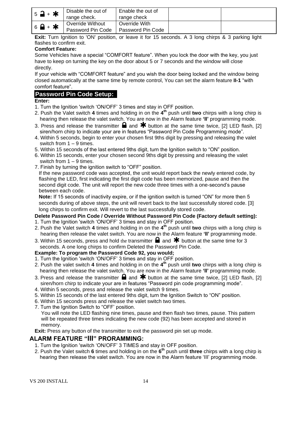| $5 - + *$                   | Disable the out of<br>range check.    | Enable the out of<br>range check   |  |
|-----------------------------|---------------------------------------|------------------------------------|--|
| $6$ $\rightarrow$ $\bullet$ | Override Without<br>Password Pin Code | Override With<br>Password Pin Code |  |

**Exit:** Turn Ignition to 'ON' position, or leave it for 15 seconds. A 3 long chirps & 3 parking light flashes to confirm exit.

#### **Comfort Feature:**

Some Vehicles have a special "COMFORT feature". When you lock the door with the key, you just have to keep on turning the key on the door about 5 or 7 seconds and the window will close directly.

If your vehicle with "COMFORT feature" and you wish the door being locked and the window being closed automatically at the same time by remote control, You can set the alarm feature **II-1** "with comfort feature".

# **Password Pin Code Setup:**

#### **Enter:**

- 1. Turn the Ignition 'switch 'ON/OFF' 3 times and stay in OFF position.
- 2. Push the Valet switch **4** times and holding in on the **4 th** push until **two** chirps with a long chirp is hearing then release the valet switch. You are now in the Alarm feature **'II'** programming mode.
- 3. Press and release the transmitter  $\blacksquare$  and  $\blacktriangleright$  button at the same time twice, [2] LED flash, [2] siren/horn chirp to indicate your are in features "Password Pin Code Programming mode".
- 4. Within 5 seconds, begin to enter your chosen first 9ths digit by pressing and releasing the valet switch from 1 – 9 times.
- 5. Within 15 seconds of the last entered 9ths digit, turn the Ignition switch to "ON" position.
- 6. Within 15 seconds, enter your chosen second 9ths digit by pressing and releasing the valet switch from  $1 - 9$  times.
- 7. Finish by turning the ignition switch to "OFF" position.

If the new password code was accepted, the unit would report back the newly entered code, by flashing the LED, first indicating the first digit code has been memorized, pause and then the second digit code. The unit will report the new code three times with a one-second's pause between each code.

**Note:** If 15 seconds of inactivity expire, or if the ignition switch is turned "ON" for more then 5 seconds during of above steps, the unit will revert back to the last successfully stored code. [3] long chirps to confirm exit. Will revert to the last successfully stored code.

#### **Delete Password Pin Code / Override Without Password Pin Code (Factory default setting):**

- 1. Turn the Ignition 'switch 'ON/OFF' 3 times and stay in OFF position.
- 2. Push the Valet switch **4** times and holding in on the **4 th** push until **two** chirps with a long chirp is hearing then release the valet switch. You are now in the Alarm feature **'II'** programming mode.
- 3. Within 15 seconds, press and hold the transmitter  $\blacksquare$  and  $\clubsuit$  button at the same time for 3 seconds. A one long chirps to confirm Deleted the Password Pin Code.

#### **Example: To program the Password Code 92, you would;**

- 1. Turn the Ignition 'switch 'ON/OFF' 3 times and stay in OFF position.
- 2. Push the valet switch **4** times and holding in on the **4 th** push until **two** chirps with a long chirp is hearing then release the valet switch. You are now in the Alarm feature **'II'** programming mode.
- 3. Press and release the transmitter  $\blacksquare$  and  $\clubsuit$  button at the same time twice, [2] LED flash, [2] siren/horn chirp to indicate your are in features "Password pin code programming mode".
- 4. Within 5 seconds, press and release the valet switch 9 times.
- 5. Within 15 seconds of the last entered 9ths digit, turn the Ignition Switch to "ON" position.
- 6. Within 15 seconds press and release the valet switch two times.
- 7. Turn the Ignition Switch to "OFF' position.

You will note the LED flashing nine times, pause and then flash two times, pause. This pattern will be repeated three times indicating the new code (92) has been accepted and stored in memory.

**Exit:** Press any button of the transmitter to exit the password pin set up mode.

#### **ALARM FEATURE "III" PRORAMMING:**

- 1. Turn the Ignition 'switch 'ON/OFF' 3 TIMES and stay in OFF position.
- 2. Push the Valet switch **6** times and holding in on the **6 th** push until **three** chirps with a long chirp is hearing then release the valet switch. You are now in the Alarm feature 'III' programming mode.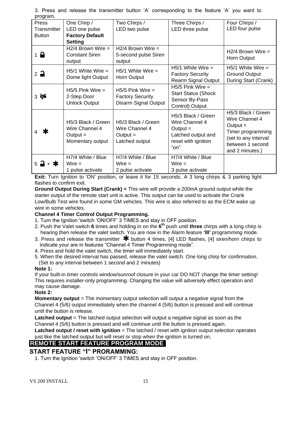| program.              |                        |                         |                            |                      |
|-----------------------|------------------------|-------------------------|----------------------------|----------------------|
| Press                 | One Chirp /            | Two Chirps /            | Three Chirps /             | Four Chirps /        |
| Transmitter           | LED one pulse          | LED two pulse           | LED three pulse            | LED four pulse       |
| <b>Button</b>         | <b>Factory Default</b> |                         |                            |                      |
|                       | <b>Setting</b>         |                         |                            |                      |
|                       | $H2/4$ Brown Wire =    | $H2/4$ Brown Wire =     |                            | $H2/4$ Brown Wire =  |
| $1 \nightharpoonup$   | <b>Constant Siren</b>  | 5-second pulse Siren    |                            |                      |
|                       | output                 | output                  |                            | Horn Output          |
|                       | $H5/1$ White Wire =    | $H5/1$ White Wire =     | $H5/1$ White Wire =        | $H5/1$ White Wire =  |
| $2\rightarrow$        |                        |                         | <b>Factory Security</b>    | <b>Ground Output</b> |
|                       | Dome light Output      | Horn Output             | <b>Rearm Signal Output</b> | During Start (Crank) |
|                       | $H5/5$ Pink Wire $=$   | $H5/5$ Pink Wire =      | $H5/5$ Pink Wire =         |                      |
| $3 \approx$           | 2-Step Door            | <b>Factory Security</b> | <b>Start Status (Shock</b> |                      |
|                       | <b>Unlock Output</b>   | Disarm Signal Output    | Sensor By-Pass             |                      |
|                       |                        |                         | Control) Output            |                      |
|                       |                        |                         | H5/3 Black / Green         | H5/3 Black / Green   |
|                       | H5/3 Black / Green     | H5/3 Black / Green      | Wire Channel 4             | Wire Channel 4       |
|                       | Wire Channel 4         | Wire Channel 4          | Output $=$                 | $Output =$           |
| Ж                     | Output $=$             | $Output =$              | Latched output and         | Timer programming    |
|                       | Momentary output       | Latched output          | reset with ignition        | (set to any interval |
|                       |                        |                         | "on"                       | between 1 second     |
|                       |                        |                         |                            | and 2 minutes.)      |
|                       | H7/4 White / Blue      | H7/4 White / Blue       | H7/4 White / Blue          |                      |
| + *<br>$5\rightarrow$ | $Wire =$               | $Wire =$                | $Wire =$                   |                      |
|                       | 1 pulse activate       | 2 pulse activate        | 3 pulse activate           |                      |

3. Press and release the transmitter button 'A' corresponding to the feature 'A' you want to program.

**Exit:** Turn Ignition to 'ON' position, or leave it for 15 seconds. A 3 long chirps & 3 parking light flashes to confirm exit.

**Ground Output During Start (Crank) =** This wire will provide a 200mA ground output while the starter output of the remote start unit is active. This output can be used to activate the Crank Low/Bulb Test wire found in some GM vehicles. This wire is also referred to as the ECM wake up wire in some vehicles.

#### **Channel 4 Timer Control Output Programming.**

- 1. Turn the Ignition 'switch 'ON/OFF' 3 TIMES and stay in OFF position.
- 2. Push the Valet switch **6** times and holding in on the **6 th** push until **three** chirps with a long chirp is hearing then release the valet switch. You are now in the Alarm feature **'III'** programming mode.
- 3. Press and release the transmitter  $*$  button 4 times, [4] LED flashes, [4] siren/horn chirps to indicate your are in features "Channel 4 Timer Programming mode".
- 4. Press and hold the valet switch, the timer will immediately start.
- 5. When the desired interval has passed, release the valet switch. One long chirp for confirmation.
- (Set to any interval between 1 second and 2 minutes)

#### **Note 1:**

If your built-in timer controls window/sunroof closure in your car DO NOT change the timer setting! This requires installer-only programming. Changing the value will adversely effect operation and may cause damage.

#### **Note 2:**

**Momentary output** = The momentary output selection will output a negative signal from the Channel 4 (5/6) output immediately when the channel 4 (5/6) button is pressed and will continue until the button is release.

**Latched output** = The latched output selection will output a negative signal as soon as the Channel 4 (5/6) button is pressed and will continue until the button is pressed again.

**Latched output / reset with ignition** = The latched / reset with ignition output selection operates just like the latched output but will reset or stop when the ignition is turned on.

# **REMOTE START FEATURE PROGRAM MODE**

# **START FEATURE "I" PRORAMMING:**

1. Turn the Ignition 'switch 'ON/OFF' 3 TIMES and stay in OFF position.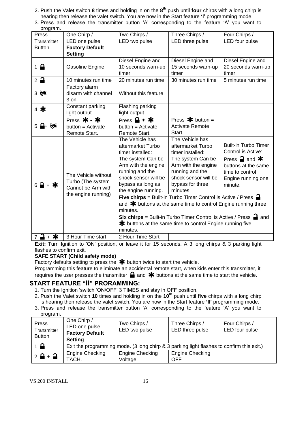- 2. Push the Valet switch **8** times and holding in on the **8 th** push until **four** chirps with a long chirp is hearing then release the valet switch. You are now in the Start feature **'I'** programming mode.
- 3. Press and release the transmitter button 'A' corresponding to the feature 'A' you want to

| program.      |                                                                |                                                                  |                                                                                       |                                |
|---------------|----------------------------------------------------------------|------------------------------------------------------------------|---------------------------------------------------------------------------------------|--------------------------------|
| Press         | One Chirp /                                                    | Two Chirps /                                                     | Three Chirps /                                                                        | Four Chirps /                  |
| Transmitter   | LED one pulse                                                  | LED two pulse                                                    | LED three pulse                                                                       | LED four pulse                 |
| <b>Button</b> | <b>Factory Default</b>                                         |                                                                  |                                                                                       |                                |
|               | <b>Setting</b>                                                 |                                                                  |                                                                                       |                                |
|               |                                                                | Diesel Engine and                                                | Diesel Engine and                                                                     | Diesel Engine and              |
| $1 \bigoplus$ | Gasoline Engine                                                | 10 seconds warn-up                                               | 15 seconds warn-up                                                                    | 20 seconds warn-up             |
|               |                                                                | timer                                                            | timer                                                                                 | timer                          |
| $2^{\circ}$   | 10 minutes run time                                            | 20 minutes run time                                              | 30 minutes run time                                                                   | 5 minutes run time             |
|               | Factory alarm                                                  |                                                                  |                                                                                       |                                |
| $3 \approx$   | disarm with channel                                            | Without this feature                                             |                                                                                       |                                |
|               | 3 on                                                           |                                                                  |                                                                                       |                                |
| 4 $*$         | Constant parking                                               | Flashing parking                                                 |                                                                                       |                                |
|               | light output                                                   | light output                                                     |                                                                                       |                                |
|               | Press $\mathbf{\ast}$ - $\mathbf{\ast}$                        | Press $\mathbf{\Theta}$ + $\mathbf{\ast}$                        | Press $\ast$ button =                                                                 |                                |
| $5 + 8$       | button = Activate                                              | button = Activate                                                | <b>Activate Remote</b>                                                                |                                |
|               | Remote Start.                                                  | Remote Start.                                                    | Start.                                                                                |                                |
|               |                                                                | The Vehicle has                                                  | The Vehicle has                                                                       |                                |
|               |                                                                | aftermarket Turbo                                                | aftermarket Turbo                                                                     | <b>Built-in Turbo Timer</b>    |
|               |                                                                | timer installed:                                                 | timer installed:                                                                      | Control is Active:             |
|               |                                                                | The system Can be                                                | The system Can be                                                                     | Press $\rightarrow$ and $\ast$ |
|               |                                                                | Arm with the engine                                              | Arm with the engine                                                                   | buttons at the same            |
|               |                                                                | running and the                                                  | running and the                                                                       | time to control                |
|               | The Vehicle without<br>Turbo (The system<br>Cannot be Arm with | shock sensor will be                                             | shock sensor will be                                                                  | Engine running one             |
|               |                                                                | bypass as long as                                                | bypass for three                                                                      | minute.                        |
|               |                                                                | the engine running.                                              | minutes                                                                               |                                |
|               | the engine running)                                            |                                                                  | <b>Five chirps</b> = Built-in Turbo Timer Control is Active / Press $\blacksquare$    |                                |
|               |                                                                | and $*$ buttons at the same time to control Engine running three |                                                                                       |                                |
|               |                                                                | minutes.                                                         |                                                                                       |                                |
|               |                                                                |                                                                  | <b>Six chirps</b> = Built-in Turbo Timer Control is Active / Press $\blacksquare$ and |                                |
|               |                                                                |                                                                  | <b>*</b> buttons at the same time to control Engine running five                      |                                |
|               |                                                                | minutes.                                                         |                                                                                       |                                |
| + ≭<br>$7 -$  | 3 Hour Time start                                              | 2 Hour Time Start                                                |                                                                                       |                                |

**Exit:** Turn Ignition to 'ON' position, or leave it for 15 seconds. A 3 long chirps & 3 parking light flashes to confirm exit.

#### **SAFE START (Child safety mode)**

Factory defaults setting to press the  $*$  button twice to start the vehicle.

Programming this feature to eliminate an accidental remote start, when kids enter this transmitter, it requires the user presses the transmitter  $\blacksquare$  and  $\blacktriangleright$  buttons at the same time to start the vehicle.

# **START FEATURE "II" PRORAMMING:**

- 1. Turn the Ignition 'switch 'ON/OFF' 3 TIMES and stay in OFF position.
- 2. Push the Valet switch **10** times and holding in on the **10th** push until **five** chirps with a long chirp is hearing then release the valet switch. You are now in the Start feature **'II'** programming mode.
- 3. Press and release the transmitter button 'A' corresponding to the feature 'A' you want to program.

| Press<br>Transmitter<br><b>Button</b> | One Chirp /<br>LED one pulse<br><b>Factory Default</b><br><b>Setting</b>                  | Two Chirps /<br>LED two pulse     | Three Chirps /<br>LED three pulse    | Four Chirps /<br>LED four pulse |
|---------------------------------------|-------------------------------------------------------------------------------------------|-----------------------------------|--------------------------------------|---------------------------------|
| $1 \blacksquare$                      | Exit the programming mode. (3 long chirp & 3 parking light flashes to confirm this exit.) |                                   |                                      |                                 |
| $2 \frac{6}{9} + \frac{1}{9}$         | Engine Checking<br>TACH.                                                                  | <b>Engine Checking</b><br>Voltage | <b>Engine Checking</b><br><b>OFF</b> |                                 |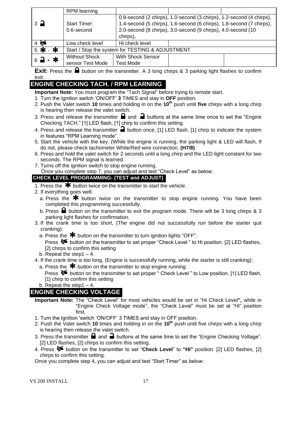|                               | RPM learning                                     |                          |                                                                      |  |
|-------------------------------|--------------------------------------------------|--------------------------|----------------------------------------------------------------------|--|
|                               |                                                  |                          | 0.8-second (2 chirps), 1.0-second (3 chirps), 1.2-second (4 chirps), |  |
| $\overline{3}$ $\overline{4}$ | <b>Start Timer:</b>                              |                          | 1.4-second (5 chirps), 1.6-second (6 chirps), 1.8-second (7 chirps), |  |
|                               | $0.6$ -second                                    |                          | 2.0-second (8 chirps), 3.0-second (9 chirps), 4.0-second (10         |  |
|                               |                                                  | chirps),                 |                                                                      |  |
| $4$ $\approx$                 | Low check level                                  | Hi check level           |                                                                      |  |
| 5 米 - 米                       | Start / Stop the system for TESTING & ADJUSTMENT |                          |                                                                      |  |
| $6 - 4$                       | <b>Without Shock</b>                             | <b>With Shock Sensor</b> |                                                                      |  |
|                               | sensor Test Mode                                 | <b>Test Mode</b>         |                                                                      |  |

**Exit:** Press the **a** button on the transmitter. A 3 long chirps & 3 parking light flashes to confirm exit.

# **ENGINE CHECKING TACH. / RPM LEARNING**

**Important Note:** You must program the "Tach Signal" before trying to remote start.

- 1. Turn the Ignition switch 'ON/OFF' **3** TIMES and stay in **OFF** position.
- 2. Push the Valet switch **10** times and holding in on the **10th** push until **five** chirps with a long chirp is hearing then release the valet switch.
- 3. Press and release the transmitter  $\blacksquare$  and  $\blacksquare$  buttons at the same time once to set the "Engine Checking TACH." [1] LED flash, [1] chirp to confirm this setting.
- 4. Press and release the transmitter **a** button once, [1] LED flash, [1] chirp to indicate the system in features "RPM Learning mode".
- 5. Start the vehicle with the key. (While the engine is running, the parking light & LED will flash, If do not, please check tachometer White/Red wire connection. **(H7/8)**
- 6. Press and hold the valet switch for 2 seconds until a long chirp and the LED light constant for two seconds. The RPM signal is learned.
- 7. Turns off the ignition switch to stop engine running.

Once you complete step 7, you can adjust and test "Check Level" as below:

# **CHECK LEVEL PROGRAMMING: (TEST and ADJUST)**

- 1. Press the  $\overline{\mathbf{*}}$  button twice on the transmitter to start the vehicle.
- 2. If everything goes well:
	- a. Press the  $\clubsuit$  button twice on the transmitter to stop engine running. You have been completed this programming successfully.
	- b. Press  $\blacksquare$  button on the transmitter to exit the program mode. There will be 3 long chirps & 3 parking light flashes for confirmation.
- 3. If the crank time is too short, (The engine did not successfully run before the starter quit cranking):
	- a. Press the  $*$  button on the transmitter to turn ignition lights "OFF".

Press  $\delta$  button on the transmitter to set proper "Check Level" to Hi position. [2] LED flashes, [2] chirps to confirm this setting

- b. Repeat the step  $1 4$ .
- 4. If the crank time is too long, (Engine is successfully running, while the starter is still cranking):
- a. Press the  $*$  button on the transmitter to stop engine running.

Press  $\mathcal{F}$  button on the transmitter to set proper " Check Level " to Low position. [1] LED flash, [1] chirp to confirm this setting

b. Repeat the step1 – 4.

# **ENGINE CHECKING VOLTAGE**

- **Important Note:** The "Check Level" for most vehicles would be set in "Hi Check Level**",** while in "Engine Check Voltage mode", the "Check Level" must be set at "HI" position first.
- 1. Turn the Ignition 'switch 'ON/OFF' 3 TIMES and stay in OFF position.
- 2. Push the Valet switch **10** times and holding in on the **10th** push until five chirps with a long chirp is hearing then release the valet switch.
- 3. Press the transmitter  $\Box$  and  $\Box$  buttons at the same time to set the "Engine Checking Voltage". [2] LED flashes, [2] chirps to confirm this setting.
- 4. Press button on the transmitter to set "**Check Level**" to **"HI"** position. [2] LED flashes, [2] chirps to confirm this setting.

Once you complete step 4, you can adjust and test "Start Timer" as below: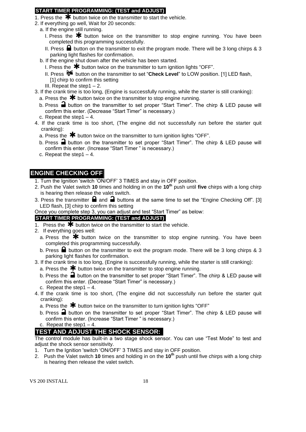#### **START TIMER PROGRAMMING: (TEST and ADJUST)**

- 1. Press the  $\bigstar$  button twice on the transmitter to start the vehicle.
- 2. If everything go well, Wait for 20 seconds:
- a. If the engine still running.
	- I. Press the  $*$  button twice on the transmitter to stop engine running. You have been completed this programming successfully.
	- II. Press  $\blacksquare$  button on the transmitter to exit the program mode. There will be 3 long chirps & 3 parking light flashes for confirmation.
- b. If the engine shut down after the vehicle has been started.
	- I. Press the  $*$  button twice on the transmitter to turn ignition lights "OFF".
	- II. Press <sup>8€</sup> button on the transmitter to set "**Check Level**" to LOW position. [1] LED flash, [1] chirp to confirm this setting
	- III. Repeat the step1 $-2$ .
- 3. If the crank time is too long, (Engine is successfully running, while the starter is still cranking):
	- a. Press the  $*$  button twice on the transmitter to stop engine running.
	- b. Press  $\Box$  button on the transmitter to set proper "Start Timer". The chirp & LED pause will confirm this enter. (Decrease "Start Timer" is necessary.)
	- c. Repeat the step1 4.
- 4. If the crank time is too short, (The engine did not successfully run before the starter quit cranking):
	- a. Press the  $\mathbf{\divideontimes}$  button twice on the transmitter to turn ignition lights "OFF".
	- b. Press  $\blacksquare$  button on the transmitter to set proper "Start Timer". The chirp & LED pause will confirm this enter. (Increase "Start Timer " is necessary.)
	- c. Repeat the step1 4.

# **ENGINE CHECKING OFF**

- 1. Turn the Ignition 'switch 'ON/OFF' 3 TIMES and stay in OFF position.
- 2. Push the Valet switch **10** times and holding in on the **10th** push until **five** chirps with a long chirp is hearing then release the valet switch.
- 3. Press the transmitter  $\blacksquare$  and  $\blacksquare$  buttons at the same time to set the "Engine Checking Off". [3] LED flash, [3] chirp to confirm this setting
- Once you complete step 3, you can adjust and test "Start Timer" as below:

## **START TIMER PROGRAMMING: (TEST and ADJUST)**

- 1. Press the  $\overline{\mathbf{*}}$  button twice on the transmitter to start the vehicle.
- 2. If everything goes well:
	- a. Press the  $*$  button twice on the transmitter to stop engine running. You have been completed this programming successfully.
	- b. Press  $\blacksquare$  button on the transmitter to exit the program mode. There will be 3 long chirps & 3 parking light flashes for confirmation.
- 3. If the crank time is too long, (Engine is successfully running, while the starter is still cranking):
	- a. Press the  $\bigstar$  button twice on the transmitter to stop engine running.
	- b. Press the  $\blacksquare$  button on the transmitter to set proper "Start Timer". The chirp & LED pause will confirm this enter. (Decrease "Start Timer" is necessary.)
	- c. Repeat the step  $1 4$ .
- 4. If the crank time is too short, (The engine did not successfully run before the starter quit cranking):
	- a. Press the  $\bigstar$  button twice on the transmitter to turn ignition lights "OFF"
	- b. Press  $\triangleq$  button on the transmitter to set proper "Start Timer". The chirp & LED pause will confirm this enter. (Increase "Start Timer " is necessary.)
	- c. Repeat the step1 $-4$ .

# **TEST AND ADJUST THE SHOCK SENSOR:**

The control module has built-in a two stage shock sensor. You can use "Test Mode" to test and adjust the shock sensor sensitivity.

- 1. Turn the Ignition 'switch 'ON/OFF' 3 TIMES and stay in OFF position.
- 2. Push the Valet switch **10** times and holding in on the **10th** push until five chirps with a long chirp is hearing then release the valet switch.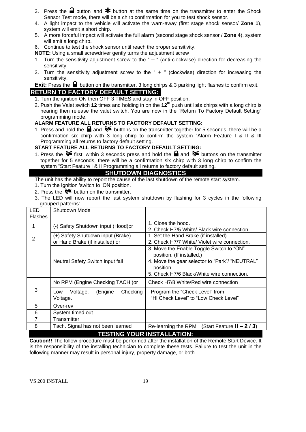- 3. Press the **a** button and  $\mathbf{\textbf{*}}$  button at the same time on the transmitter to enter the Shock Sensor Test mode, there will be a chirp confirmation for you to test shock sensor.
- 4. A light impact to the vehicle will activate the warn-away (first stage shock sensor/ **Zone 1**), system will emit a short chirp.
- 5. A more forceful impact will activate the full alarm (second stage shock sensor / **Zone 4**), system will emit a long chirp.
- 6. Continue to test the shock sensor until reach the proper sensitivity.
- **NOTE:** Using a small screwdriver gently turns the adjustment screw
- 1. Turn the sensitivity adjustment screw to the " **–** " (anti-clockwise) direction for decreasing the sensitivity.
- 2. Turn the sensitivity adjustment screw to the " **+** " (clockwise) direction for increasing the sensitivity.

**Exit:** Press the **b**utton on the transmitter. 3 long chirps & 3 parking light flashes to confirm exit. **RETURN TO FACTORY DEFAULT SETTING:**

- 1. Turn the ignition ON then OFF 3 TIMES and stay in OFF position.
- 2. Push the Valet switch **12** times and holding in on the **12th** push until **six** chirps with a long chirp is hearing then release the valet switch. You are now in the "Return To Factory Default Setting" programming mode.

#### **ALARM FEATURE ALL RETURNS TO FACTORY DEFAULT SETTING:**

1. Press and hold the  $\blacksquare$  and  $\blacklozenge \blacklozenge$  buttons on the transmitter together for 5 seconds, there will be a confirmation six chirp with 3 long chirp to confirm the system "Alarm Feature I & II & III Programming all returns to factory default setting.

#### **START FEATURE ALL RETURNS TO FACTORY DEFAULT SETTING:**

1. Press the  $\delta$  first, within 3 seconds press and hold the **a** and  $\delta$  buttons on the transmitter together for 5 seconds, there will be a confirmation six chirp with 3 long chirp to confirm the system "Start Feature I & II Programming all returns to factory default setting.

### **SHUTDOWN DIAGNOSTICS**

The unit has the ability to report the cause of the last shutdown of the remote start system.

- 1. Turn the Ignition 'switch to 'ON position.
- 2. Press the  $\delta$  button on the transmitter.
- 3. The LED will now report the last system shutdown by flashing for 3 cycles in the following grouped patterns:

| <b>LED</b><br><b>Flashes</b> | Shutdown Mode                                                        |                                                                                                                                                                                    |  |  |
|------------------------------|----------------------------------------------------------------------|------------------------------------------------------------------------------------------------------------------------------------------------------------------------------------|--|--|
|                              | (-) Safety Shutdown input (Hood)or                                   | 1. Close the hood.<br>2. Check H7/5 White/ Black wire connection.                                                                                                                  |  |  |
| 2                            | (+) Safety Shutdown input (Brake)<br>or Hand Brake (if installed) or | 1. Set the Hand Brake (if installed)<br>2. Check H7/7 White/ Violet wire connection.                                                                                               |  |  |
|                              | Neutral Safety Switch input fail                                     | 3. Move the Enable Toggle Switch to "ON"<br>position. (If installed.)<br>4. Move the gear selector to "Park"/ "NEUTRAL"<br>position.<br>5. Check H7/6 Black/White wire connection. |  |  |
|                              | No RPM (Engine Checking TACH.) or                                    | Check H7/8 White/Red wire connection                                                                                                                                               |  |  |
| 3                            | Checking<br>Voltage.<br>(Engine<br>Low<br>Voltage.                   | Program the "Check Level" from<br>"Hi Check Level" to "Low Check Level"                                                                                                            |  |  |
| 5                            | Over-rev                                                             |                                                                                                                                                                                    |  |  |
| 6                            | System timed out                                                     |                                                                                                                                                                                    |  |  |
| $\overline{7}$               | Transmitter                                                          |                                                                                                                                                                                    |  |  |
| 8                            | Tach. Signal has not been learned                                    | (Start Feature $II - 2/3$ )<br>Re-learning the RPM                                                                                                                                 |  |  |
|                              | <b>TESTING YOUR INSTALLATION:</b>                                    |                                                                                                                                                                                    |  |  |

**Caution!!** The follow procedure must be performed after the installation of the Remote Start Device. It is the responsibility of the installing technician to complete these tests. Failure to test the unit in the following manner may result in personal injury, property damage, or both.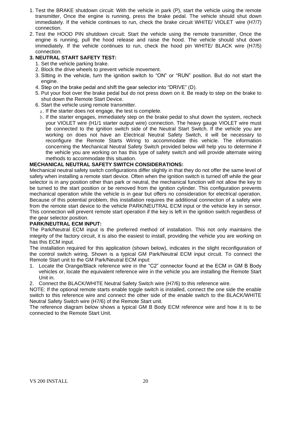- 1. Test the BRAKE shutdown circuit: With the vehicle in park (P), start the vehicle using the remote transmitter, Once the engine is running, press the brake pedal. The vehicle should shut down immediately. If the vehicle continues to run, check the brake circuit WHITE/ VIOLET wire (H7/7) connection.
- 2. Test the HOOD PIN shutdown circuit: Start the vehicle using the remote transmitter, Once the engine is running, pull the hood release and raise the hood. The vehicle should shut down immediately. If the vehicle continues to run, check the hood pin WHITE/ BLACK wire (H7/5) connection.

#### **3. NEUTRAL START SAFETY TEST:**

- 1. Set the vehicle parking brake.
- 2. Block the drive wheels to prevent vehicle movement.
- 3. Sitting in the vehicle, turn the ignition switch to "ON" or "RUN" position. But do not start the engine.
- 4. Step on the brake pedal and shift the gear selector into "DRIVE" (D).
- 5. Put your foot over the brake pedal but do not press down on it. Be ready to step on the brake to shut down the Remote Start Device.
- 6. Start the vehicle using remote transmitter.
	- a. If the starter does not engage, the test is complete.
	- b. If the starter engages, immediately step on the brake pedal to shut down the system, recheck your VIOLET wire (H1/1 starter output wire) connection. The heavy gauge VIOLET wire must be connected to the ignition switch side of the Neutral Start Switch. If the vehicle you are working on does not have an Electrical Neutral Safety Switch, it will be necessary to reconfigure the Remote Starts Wiring to accommodate this vehicle. The information concerning the Mechanical Neutral Safety Switch provided below will help you to determine if the vehicle you are working on has this type of safety switch and will provide alternate wiring methods to accommodate this situation.

#### **MECHANICAL NEUTRAL SAFETY SWITCH CONSIDERATIONS:**

Mechanical neutral safety switch configurations differ slightly in that they do not offer the same level of safety when installing a remote start device. Often when the ignition switch is turned off while the gear selector is in any position other than park or neutral, the mechanical function will not allow the key to be turned to the start position or be removed from the ignition cylinder. This configuration prevents mechanical operation while the vehicle is in gear but offers no consideration for electrical operation. Because of this potential problem, this installation requires the additional connection of a safety wire from the remote start device to the vehicle PARK/NEUTRAL ECM input or the vehicle key in sensor. This connection will prevent remote start operation if the key is left in the ignition switch regardless of the gear selector position.

#### **PARK/NEUTRAL ECM INPUT:**

The Park/Neutral ECM input is the preferred method of installation. This not only maintains the integrity of the factory circuit, it is also the easiest to install, providing the vehicle you are working on has this ECM input.

The installation required for this application (shown below), indicates in the slight reconfiguration of the control switch wiring. Shown is a typical GM Park/Neutral ECM input circuit. To connect the Remote Start unit to the GM Park/Neutral ECM input:

- 1. Locate the Orange/Black reference wire in the "C2" connector found at the ECM in GM B Body vehicles or, locate the equivalent reference wire in the vehicle you are installing the Remote Start Unit in.
- 2. Connect the BLACK/WHITE Neutral Safety Switch wire (H7/6) to this reference wire.

NOTE: If the optional remote starts enable toggle switch is installed, connect the one side the enable switch to this reference wire and connect the other side of the enable switch to the BLACK/WHITE Neutral Safety Switch wire (H7/6) of the Remote Start unit.

The reference diagram below shows a typical GM B Body ECM reference wire and how it is to be connected to the Remote Start Unit.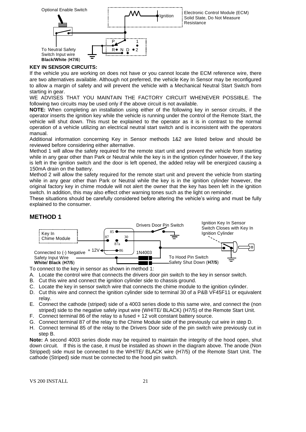

#### **KEY IN SENSOR CIRCUITS:**

If the vehicle you are working on does not have or you cannot locate the ECM reference wire, there are two alternatives available. Although not preferred, the vehicle Key In Sensor may be reconfigured to allow a margin of safety and will prevent the vehicle with a Mechanical Neutral Start Switch from starting in gear.

WE ADVISES THAT YOU MAINTAIN THE FACTORY CIRCUIT WHENEVER POSSIBLE. The following two circuits may be used only if the above circuit is not available.

**NOTE:** When completing an installation using either of the following key in sensor circuits, if the operator inserts the ignition key while the vehicle is running under the control of the Remote Start, the vehicle will shut down. This must be explained to the operator as it is in contrast to the normal operation of a vehicle utilizing an electrical neutral start switch and is inconsistent with the operators manual.

Additional information concerning Key in Sensor methods 1&2 are listed below and should be reviewed before considering either alternative.

Method 1 will allow the safety required for the remote start unit and prevent the vehicle from starting while in any gear other than Park or Neutral while the key is in the ignition cylinder however, if the key is left in the ignition switch and the door is left opened, the added relay will be energized causing a 150mA drain on the battery.

Method 2 will allow the safety required for the remote start unit and prevent the vehicle from starting while in any gear other than Park or Neutral while the key is in the ignition cylinder however, the original factory key in chime module will not alert the owner that the key has been left in the ignition switch. In addition, this may also effect other warning tones such as the light on reminder.

These situations should be carefully considered before altering the vehicle's wiring and must be fully explained to the consumer.

#### **METHOD 1**



To connect to the key in sensor as shown in method 1:

A. Locate the control wire that connects the drivers door pin switch to the key in sensor switch.

- B. Cut this wire and connect the ignition cylinder side to chassis ground.
- C. Locate the key in sensor switch wire that connects the chime module to the ignition cylinder.
- D. Cut this wire and connect the ignition cylinder side to terminal 30 of a P&B VF45F11 or equivalent relay.
- E. Connect the cathode (striped) side of a 4003 series diode to this same wire, and connect the (non striped) side to the negative safely input wire (WHITE/ BLACK) (H7/5) of the Remote Start Unit.
- F. Connect terminal 86 of the relay to a fused + 12 volt constant battery source.
- G. Connect terminal 87 of the relay to the Chime Module side of the previously cut wire in step D.
- H. Connect terminal 85 of the relay to the Drivers Door side of the pin switch wire previously cut in step B.

**Note:** A second 4003 series diode may be required to maintain the integrity of the hood open, shut down circuit. If this is the case, it must be installed as shown in the diagram above. The anode (Non Stripped) side must be connected to the WHITE/ BLACK wire (H7/5) of the Remote Start Unit. The cathode (Striped) side must be connected to the hood pin switch.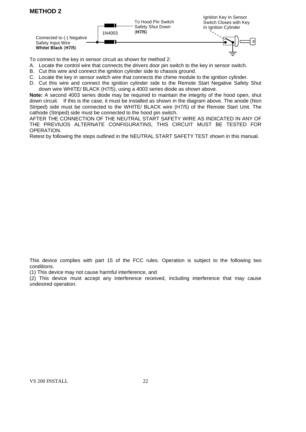# **METHOD 2**



To connect to the key in sensor circuit as shown for method 2:

- A. Locate the control wire that connects the drivers door pin switch to the key in sensor switch.
- B. Cut this wire and connect the ignition cylinder side to chassis ground.
- C. Locate the key in sensor switch wire that connects the chime module to the ignition cylinder.
- D. Cut this wire and connect the ignition cylinder side to the Remote Start Negative Safety Shut down wire WHITE/ BLACK (H7/5), using a 4003 series diode as shown above.

**Note:** A second 4003 series diode may be required to maintain the integrity of the hood open, shut down circuit. If this is the case, it must be installed as shown in the diagram above. The anode (Non Striped) side must be connected to the WHITE/ BLACK wire (H7/5) of the Remote Start Unit. The cathode (Striped) side must be connected to the hood pin switch.

AFTER THE CONNECTION OF THE NEUTRAL START SAFETY WIRE AS INDICATED IN ANY OF THE PREVIUOS ALTERNATE CONFIGURATINS, THIS CIRCUIT MUST BE TESTED FOR OPERATION.

Retest by following the steps outlined in the NEUTRAL START SAFETY TEST shown in this manual.

This device complies with part 15 of the FCC rules. Operation is subject to the following two conditions.

(1) This device may not cause harmful interference, and

(2) This device must accept any interference received, including interference that may cause undesired operation.